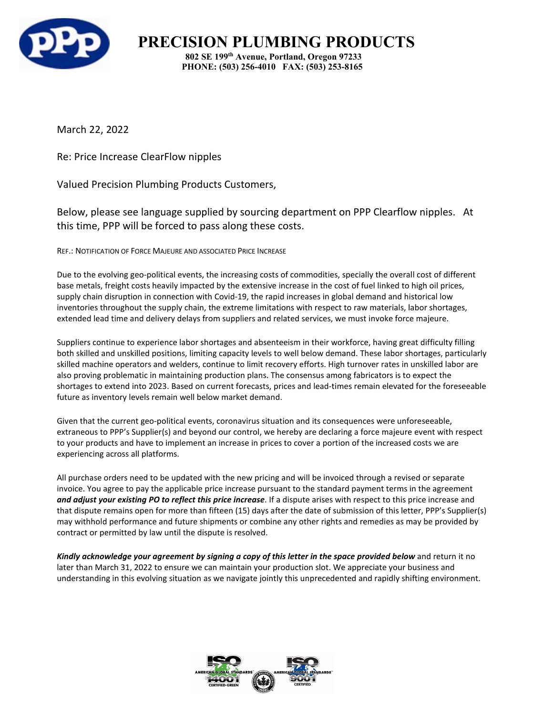

**PRECISION PLUMBING PRODUCTS 802 SE 199th Avenue, Portland, Oregon 97233 PHONE: (503) 256-4010 FAX: (503) 253-8165**

March 22, 2022

Re: Price Increase ClearFlow nipples

Valued Precision Plumbing Products Customers,

Below, please see language supplied by sourcing department on PPP Clearflow nipples. At this time, PPP will be forced to pass along these costs.

REF.: NOTIFICATION OF FORCE MAJEURE AND ASSOCIATED PRICE INCREASE

Due to the evolving geo-political events, the increasing costs of commodities, specially the overall cost of different base metals, freight costs heavily impacted by the extensive increase in the cost of fuel linked to high oil prices, supply chain disruption in connection with Covid-19, the rapid increases in global demand and historical low inventories throughout the supply chain, the extreme limitations with respect to raw materials, labor shortages, extended lead time and delivery delays from suppliers and related services, we must invoke force majeure.

Suppliers continue to experience labor shortages and absenteeism in their workforce, having great difficulty filling both skilled and unskilled positions, limiting capacity levels to well below demand. These labor shortages, particularly skilled machine operators and welders, continue to limit recovery efforts. High turnover rates in unskilled labor are also proving problematic in maintaining production plans. The consensus among fabricators is to expect the shortages to extend into 2023. Based on current forecasts, prices and lead-times remain elevated for the foreseeable future as inventory levels remain well below market demand.

Given that the current geo-political events, coronavirus situation and its consequences were unforeseeable, extraneous to PPP's Supplier(s) and beyond our control, we hereby are declaring a force majeure event with respect to your products and have to implement an increase in prices to cover a portion of the increased costs we are experiencing across all platforms.

All purchase orders need to be updated with the new pricing and will be invoiced through a revised or separate invoice. You agree to pay the applicable price increase pursuant to the standard payment terms in the agreement *and adjust your existing PO to reflect this price increase*. If a dispute arises with respect to this price increase and that dispute remains open for more than fifteen (15) days after the date of submission of this letter, PPP's Supplier(s) may withhold performance and future shipments or combine any other rights and remedies as may be provided by contract or permitted by law until the dispute is resolved.

Kindly acknowledge your agreement by signing a copy of this letter in the space provided below and return it no later than March 31, 2022 to ensure we can maintain your production slot. We appreciate your business and understanding in this evolving situation as we navigate jointly this unprecedented and rapidly shifting environment.